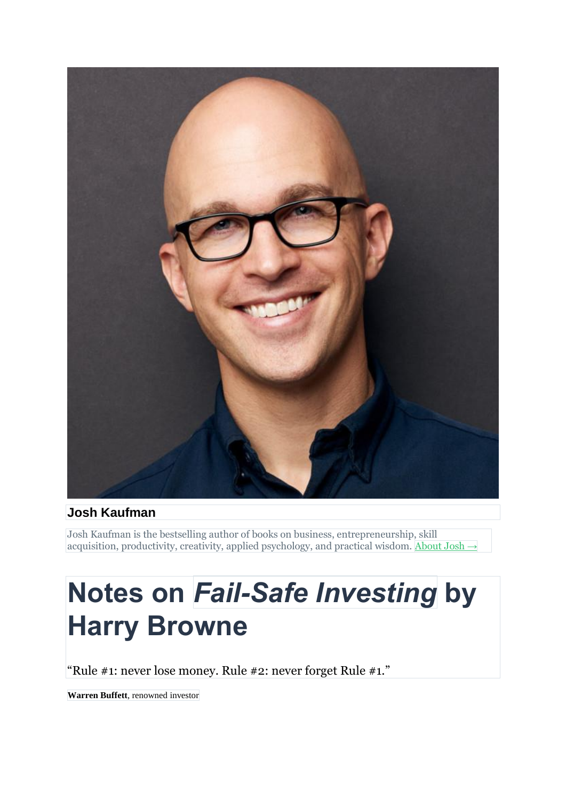

#### **Josh Kaufman**

Josh Kaufman is the bestselling author of books on business, entrepreneurship, skill acquisition, productivity, creativity, applied psychology, and practical wisdom. [About](https://joshkaufman.net/about-josh-kaufman/) Josh  $\rightarrow$ 

# **Notes on** *Fail-Safe Investing* **by Harry Browne**

"Rule #1: never lose money. Rule #2: never forget Rule #1."

**Warren Buffett**, renowned investor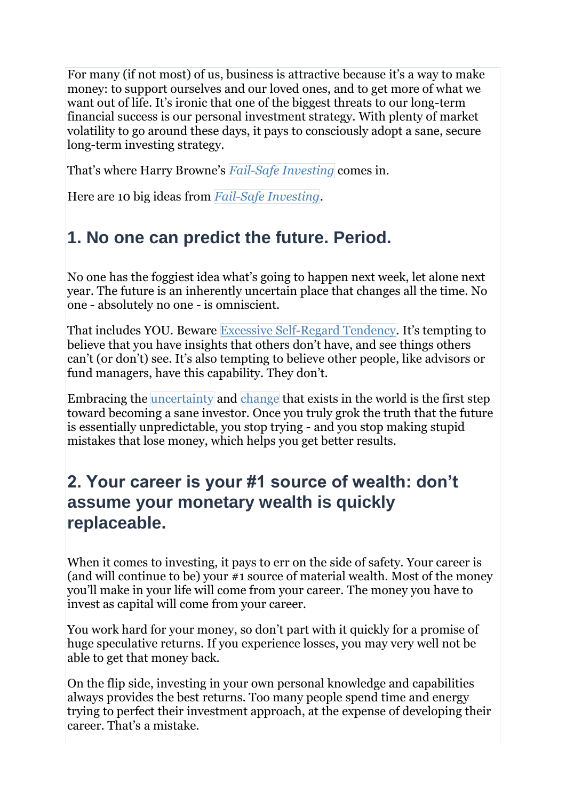For many (if not most) of us, business is attractive because it's a way to make money: to support ourselves and our loved ones, and to get more of what we want out of life. It's ironic that one of the biggest threats to our long-term financial success is our personal investment strategy. With plenty of market volatility to go around these days, it pays to consciously adopt a sane, secure long-term investing strategy.

That's where Harry Browne's *Fail-Safe [Investing](https://personalmba.com/book/fail-safe-investing/)* comes in.

Here are 10 big ideas from *Fail-Safe [Investing](https://personalmba.com/book/)*.

# **1. No one can predict the future. Period.**

No one has the foggiest idea what's going to happen next week, let alone next year. The future is an inherently uncertain place that changes all the time. No one - absolutely no one - is omniscient.

That includes YOU. Beware Excessive [Self-Regard](http://book.personalmba.com/excessive-self-regard-tendency/) Tendency. It's tempting to believe that you have insights that others don't have, and see things others can't (or don't) see. It's also tempting to believe other people, like advisors or fund managers, have this capability. They don't.

Embracing the [uncertainty](http://book.personalmba.com/uncertainty/) and [change](http://book.personalmba.com/change/) that exists in the world is the first step toward becoming a sane investor. Once you truly grok the truth that the future is essentially unpredictable, you stop trying - and you stop making stupid mistakes that lose money, which helps you get better results.

#### **2. Your career is your #1 source of wealth: don't assume your monetary wealth is quickly replaceable.**

When it comes to investing, it pays to err on the side of safety. Your career is (and will continue to be) your #1 source of material wealth. Most of the money you'll make in your life will come from your career. The money you have to invest as capital will come from your career.

You work hard for your money, so don't part with it quickly for a promise of huge speculative returns. If you experience losses, you may very well not be able to get that money back.

On the flip side, investing in your own personal knowledge and capabilities always provides the best returns. Too many people spend time and energy trying to perfect their investment approach, at the expense of developing their career. That's a mistake.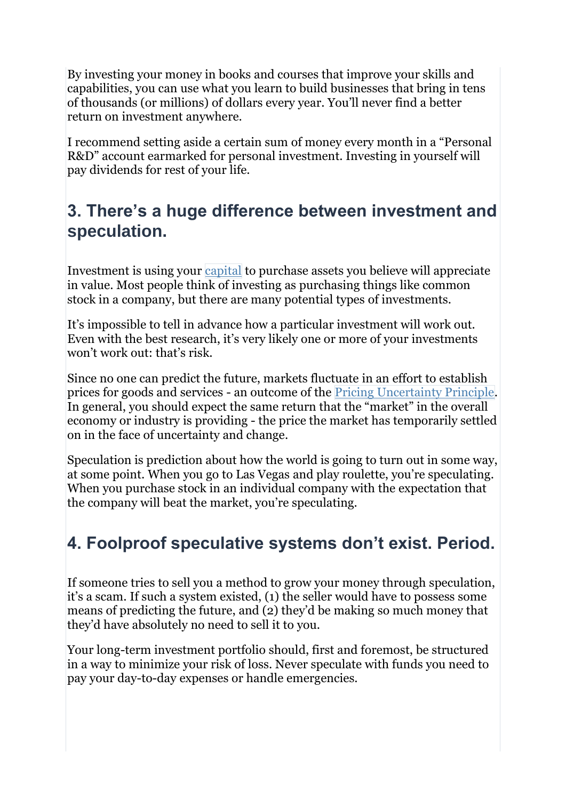By investing your money in books and courses that improve your skills and capabilities, you can use what you learn to build businesses that bring in tens of thousands (or millions) of dollars every year. You'll never find a better return on investment anywhere.

I recommend setting aside a certain sum of money every month in a "Personal R&D" account earmarked for personal investment. Investing in yourself will pay dividends for rest of your life.

#### **3. There's a huge difference between investment and speculation.**

Investment is using your [capital](http://book.personalmba.com/capital/) to purchase assets you believe will appreciate in value. Most people think of investing as purchasing things like common stock in a company, but there are many potential types of investments.

It's impossible to tell in advance how a particular investment will work out. Even with the best research, it's very likely one or more of your investments won't work out: that's risk.

Since no one can predict the future, markets fluctuate in an effort to establish prices for goods and services - an outcome of the Pricing [Uncertainty](http://book.personalmba.com/capital/) Principle. In general, you should expect the same return that the "market" in the overall economy or industry is providing - the price the market has temporarily settled on in the face of uncertainty and change.

Speculation is prediction about how the world is going to turn out in some way, at some point. When you go to Las Vegas and play roulette, you're speculating. When you purchase stock in an individual company with the expectation that the company will beat the market, you're speculating.

# **4. Foolproof speculative systems don't exist. Period.**

If someone tries to sell you a method to grow your money through speculation, it's a scam. If such a system existed, (1) the seller would have to possess some means of predicting the future, and (2) they'd be making so much money that they'd have absolutely no need to sell it to you.

Your long-term investment portfolio should, first and foremost, be structured in a way to minimize your risk of loss. Never speculate with funds you need to pay your day-to-day expenses or handle emergencies.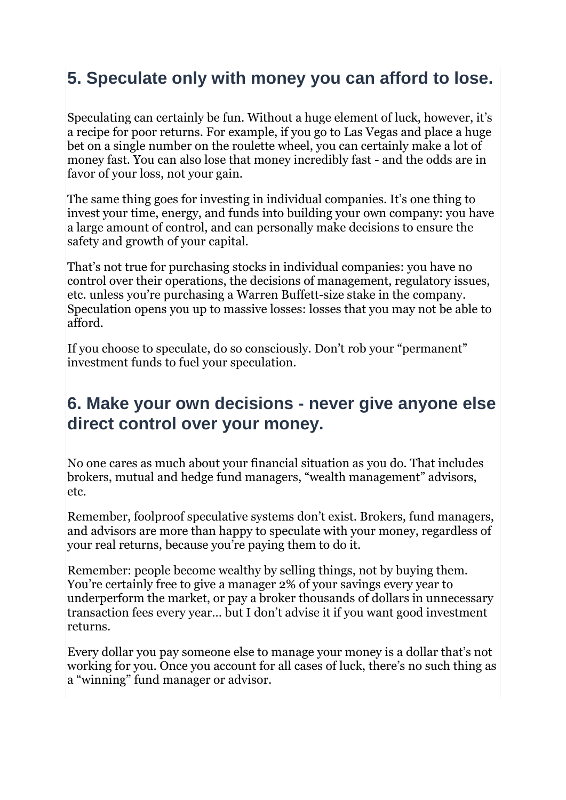# **5. Speculate only with money you can afford to lose.**

Speculating can certainly be fun. Without a huge element of luck, however, it's a recipe for poor returns. For example, if you go to Las Vegas and place a huge bet on a single number on the roulette wheel, you can certainly make a lot of money fast. You can also lose that money incredibly fast - and the odds are in favor of your loss, not your gain.

The same thing goes for investing in individual companies. It's one thing to invest your time, energy, and funds into building your own company: you have a large amount of control, and can personally make decisions to ensure the safety and growth of your capital.

That's not true for purchasing stocks in individual companies: you have no control over their operations, the decisions of management, regulatory issues, etc. unless you're purchasing a Warren Buffett-size stake in the company. Speculation opens you up to massive losses: losses that you may not be able to afford.

If you choose to speculate, do so consciously. Don't rob your "permanent" investment funds to fuel your speculation.

#### **6. Make your own decisions - never give anyone else direct control over your money.**

No one cares as much about your financial situation as you do. That includes brokers, mutual and hedge fund managers, "wealth management" advisors, etc.

Remember, foolproof speculative systems don't exist. Brokers, fund managers, and advisors are more than happy to speculate with your money, regardless of your real returns, because you're paying them to do it.

Remember: people become wealthy by selling things, not by buying them. You're certainly free to give a manager 2% of your savings every year to underperform the market, or pay a broker thousands of dollars in unnecessary transaction fees every year… but I don't advise it if you want good investment returns.

Every dollar you pay someone else to manage your money is a dollar that's not working for you. Once you account for all cases of luck, there's no such thing as a "winning" fund manager or advisor.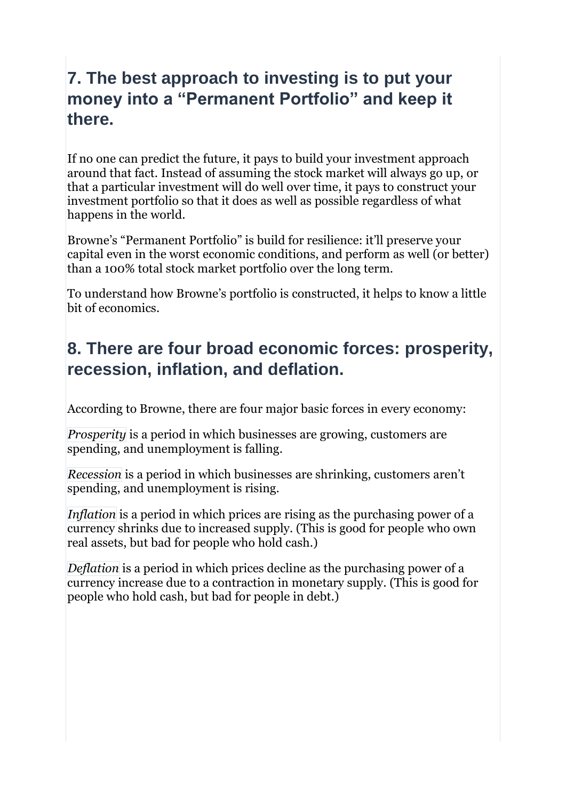## **7. The best approach to investing is to put your money into a "Permanent Portfolio" and keep it there.**

If no one can predict the future, it pays to build your investment approach around that fact. Instead of assuming the stock market will always go up, or that a particular investment will do well over time, it pays to construct your investment portfolio so that it does as well as possible regardless of what happens in the world.

Browne's "Permanent Portfolio" is build for resilience: it'll preserve your capital even in the worst economic conditions, and perform as well (or better) than a 100% total stock market portfolio over the long term.

To understand how Browne's portfolio is constructed, it helps to know a little bit of economics.

# **8. There are four broad economic forces: prosperity, recession, inflation, and deflation.**

According to Browne, there are four major basic forces in every economy:

*Prosperity* is a period in which businesses are growing, customers are spending, and unemployment is falling.

*Recession* is a period in which businesses are shrinking, customers aren't spending, and unemployment is rising.

*Inflation* is a period in which prices are rising as the purchasing power of a currency shrinks due to increased supply. (This is good for people who own real assets, but bad for people who hold cash.)

*Deflation* is a period in which prices decline as the purchasing power of a currency increase due to a contraction in monetary supply. (This is good for people who hold cash, but bad for people in debt.)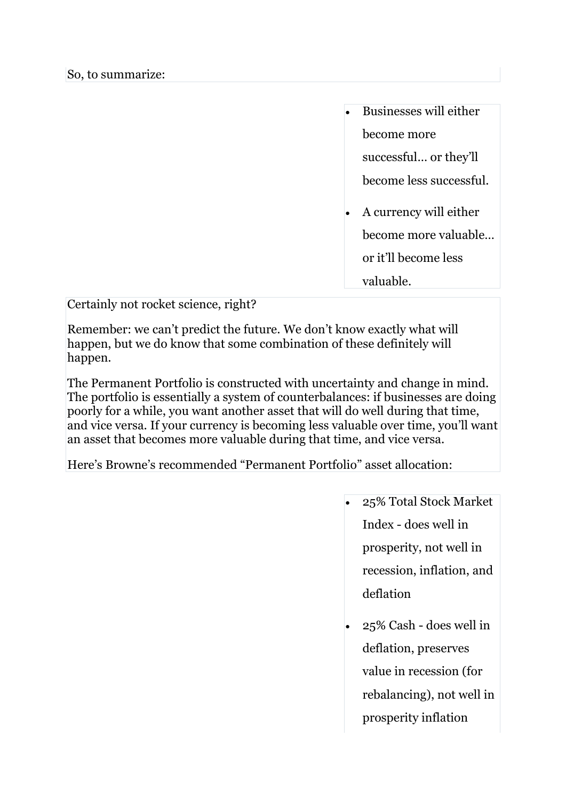| Businesses will either                         |
|------------------------------------------------|
| become more                                    |
| successful or they'll                          |
| become less successful.                        |
| A currency will either<br>become more valuable |
| or it'll become less                           |
| valuable.                                      |

Certainly not rocket science, right?

Remember: we can't predict the future. We don't know exactly what will happen, but we do know that some combination of these definitely will happen.

The Permanent Portfolio is constructed with uncertainty and change in mind. The portfolio is essentially a system of counterbalances: if businesses are doing poorly for a while, you want another asset that will do well during that time, and vice versa. If your currency is becoming less valuable over time, you'll want an asset that becomes more valuable during that time, and vice versa.

Here's Browne's recommended "Permanent Portfolio" asset allocation:

- 25% Total Stock Market Index - does well in prosperity, not well in recession, inflation, and deflation
- 25% Cash does well in deflation, preserves value in recession (for rebalancing), not well in prosperity inflation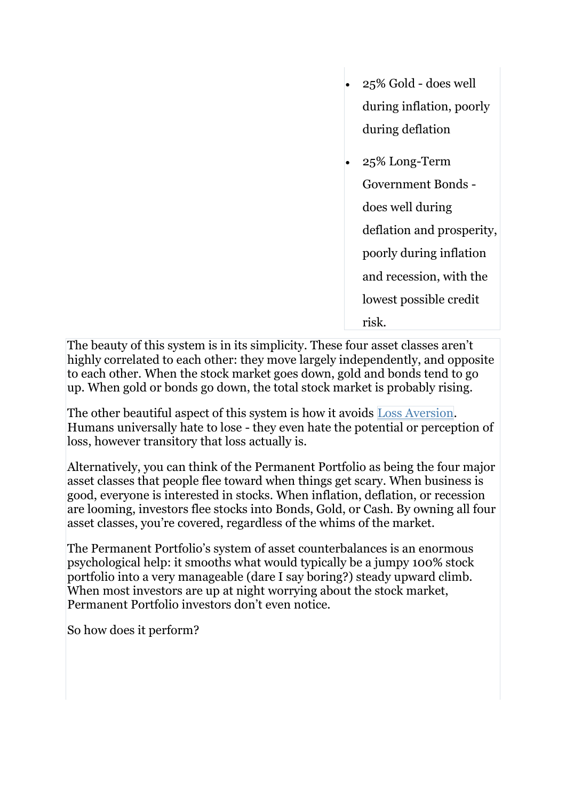- 25% Gold does well during inflation, poorly during deflation
- 25% Long-Term Government Bonds does well during deflation and prosperity, poorly during inflation and recession, with the lowest possible credit risk.

The beauty of this system is in its simplicity. These four asset classes aren't highly correlated to each other: they move largely independently, and opposite to each other. When the stock market goes down, gold and bonds tend to go up. When gold or bonds go down, the total stock market is probably rising.

The other beautiful aspect of this system is how it avoids Loss [Aversion.](http://book.personalmba.com/capital/) Humans universally hate to lose - they even hate the potential or perception of loss, however transitory that loss actually is.

Alternatively, you can think of the Permanent Portfolio as being the four major asset classes that people flee toward when things get scary. When business is good, everyone is interested in stocks. When inflation, deflation, or recession are looming, investors flee stocks into Bonds, Gold, or Cash. By owning all four asset classes, you're covered, regardless of the whims of the market.

The Permanent Portfolio's system of asset counterbalances is an enormous psychological help: it smooths what would typically be a jumpy 100% stock portfolio into a very manageable (dare I say boring?) steady upward climb. When most investors are up at night worrying about the stock market, Permanent Portfolio investors don't even notice.

So how does it perform?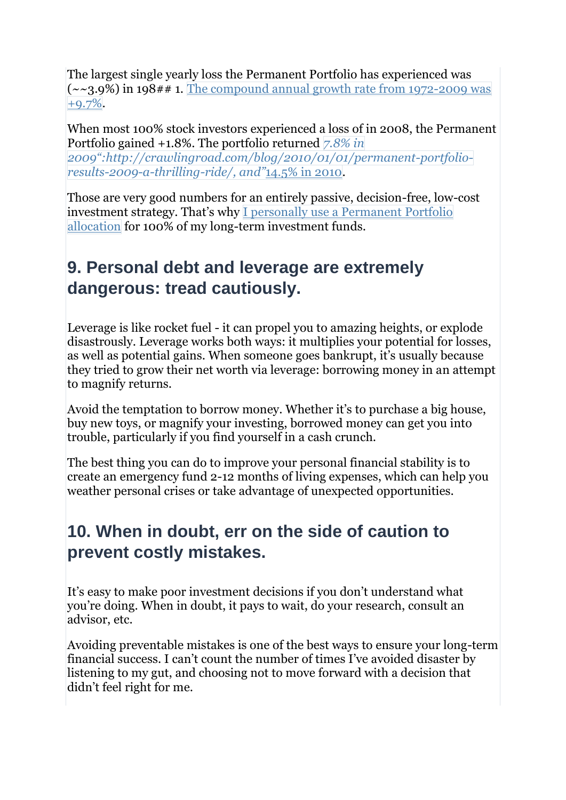The largest single yearly loss the Permanent Portfolio has experienced was  $(-23.9\%)$  in 198## 1. The compound annual growth rate from [1972-2009](http://crawlingroad.com/blog/2008/12/22/permanent-portfolio-historical-returns/) was [+9.7%.](http://crawlingroad.com/blog/2008/12/22/permanent-portfolio-historical-returns/)

When most 100% stock investors experienced a loss of in 2008, the Permanent Portfolio gained +1.8%. The portfolio returned *[7.8%](http://crawlingroad.com/blog/2010/12/31/permanent-portfolio-2010-results/) in 2009"[:http://crawlingroad.com/blog/2010/01/01/permanent-portfolio](http://crawlingroad.com/blog/2010/12/31/permanent-portfolio-2010-results/)[results-2009-a-thrilling-ride/,](http://crawlingroad.com/blog/2010/12/31/permanent-portfolio-2010-results/) and"*14.5% in 2010.

Those are very good numbers for an entirely passive, decision-free, low-cost investment strategy. That's why I personally use a [Permanent](https://joshkaufman.net/josh-kaufman-permanent-portfolio/) Portfolio [allocation](https://joshkaufman.net/josh-kaufman-permanent-portfolio/) for 100% of my long-term investment funds.

## **9. Personal debt and leverage are extremely dangerous: tread cautiously.**

Leverage is like rocket fuel - it can propel you to amazing heights, or explode disastrously. Leverage works both ways: it multiplies your potential for losses, as well as potential gains. When someone goes bankrupt, it's usually because they tried to grow their net worth via leverage: borrowing money in an attempt to magnify returns.

Avoid the temptation to borrow money. Whether it's to purchase a big house, buy new toys, or magnify your investing, borrowed money can get you into trouble, particularly if you find yourself in a cash crunch.

The best thing you can do to improve your personal financial stability is to create an emergency fund 2-12 months of living expenses, which can help you weather personal crises or take advantage of unexpected opportunities.

#### **10. When in doubt, err on the side of caution to prevent costly mistakes.**

It's easy to make poor investment decisions if you don't understand what you're doing. When in doubt, it pays to wait, do your research, consult an advisor, etc.

Avoiding preventable mistakes is one of the best ways to ensure your long-term financial success. I can't count the number of times I've avoided disaster by listening to my gut, and choosing not to move forward with a decision that didn't feel right for me.